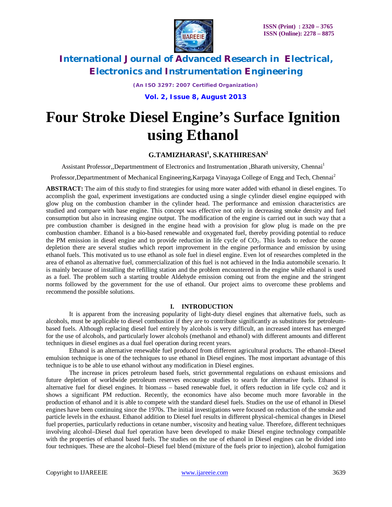

*(An ISO 3297: 2007 Certified Organization)*

**Vol. 2, Issue 8, August 2013**

# **Four Stroke Diesel Engine's Surface Ignition using Ethanol**

# **G.TAMIZHARASI<sup>1</sup> , S.KATHIRESAN<sup>2</sup>**

Assistant Professor,,Departmentment of Electronics and Instrumentation ,Bharath university, Chennai<sup>1</sup>

Professor,Departmentment of Mechanical Engineering,Karpaga Vinayaga College of Engg and Tech, Chennai<sup>2</sup>

**ABSTRACT:** The aim of this study to find strategies for using more water added with ethanol in diesel engines. To accomplish the goal, experiment investigations are conducted using a single cylinder diesel engine equipped with glow plug on the combustion chamber in the cylinder head. The performance and emission characteristics are studied and compare with base engine. This concept was effective not only in decreasing smoke density and fuel consumption but also in increasing engine output. The modification of the engine is carried out in such way that a pre combustion chamber is designed in the engine head with a provision for glow plug is made on the pre combustion chamber. Ethanol is a bio-based renewable and oxygenated fuel, thereby providing potential to reduce the PM emission in diesel engine and to provide reduction in life cycle of  $CO<sub>2</sub>$ . This leads to reduce the ozone depletion there are several studies which report improvement in the engine performance and emission by using ethanol fuels. This motivated us to use ethanol as sole fuel in diesel engine. Even lot of researches completed in the area of ethanol as alternative fuel, commercialization of this fuel is not achieved in the India automobile scenario. It is mainly because of installing the refilling station and the problem encountered in the engine while ethanol is used as a fuel. The problem such a starting trouble Aldehyde emission coming out from the engine and the stringent norms followed by the government for the use of ethanol. Our project aims to overcome these problems and recommend the possible solutions.

### **I. INTRODUCTION**

It is apparent from the increasing popularity of light-duty diesel engines that alternative fuels, such as alcohols, must be applicable to diesel combustion if they are to contribute significantly as substitutes for petroleumbased fuels. Although replacing diesel fuel entirely by alcohols is very difficult, an increased interest has emerged for the use of alcohols, and particularly lower alcohols (methanol and ethanol) with different amounts and different techniques in diesel engines as a dual fuel operation during recent years.

Ethanol is an alternative renewable fuel produced from different agricultural products. The ethanol–Diesel emulsion technique is one of the techniques to use ethanol in Diesel engines. The most important advantage of this technique is to be able to use ethanol without any modification in Diesel engines.

The increase in prices petroleum based fuels, strict governmental regulations on exhaust emissions and future depletion of worldwide petroleum reserves encourage studies to search for alternative fuels. Ethanol is alternative fuel for diesel engines. It biomass – based renewable fuel, it offers reduction in life cycle co2 and it shows a significant PM reduction. Recently, the economics have also become much more favorable in the production of ethanol and it is able to compete with the standard diesel fuels. Studies on the use of ethanol in Diesel engines have been continuing since the 1970s. The initial investigations were focused on reduction of the smoke and particle levels in the exhaust. Ethanol addition to Diesel fuel results in different physical-chemical changes in Diesel fuel properties, particularly reductions in cetane number, viscosity and heating value. Therefore, different techniques involving alcohol–Diesel dual fuel operation have been developed to make Diesel engine technology compatible with the properties of ethanol based fuels. The studies on the use of ethanol in Diesel engines can be divided into four techniques. These are the alcohol–Diesel fuel blend (mixture of the fuels prior to injection), alcohol fumigation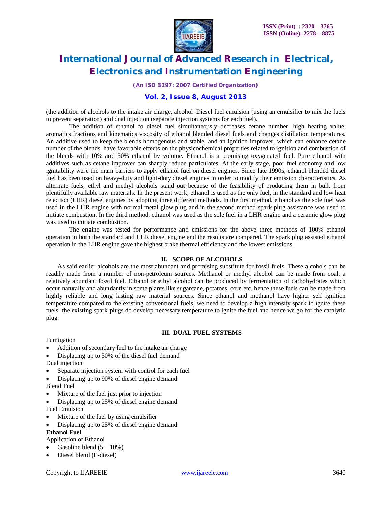

*(An ISO 3297: 2007 Certified Organization)*

# **Vol. 2, Issue 8, August 2013**

(the addition of alcohols to the intake air charge, alcohol–Diesel fuel emulsion (using an emulsifier to mix the fuels to prevent separation) and dual injection (separate injection systems for each fuel).

The addition of ethanol to diesel fuel simultaneously decreases cetane number, high heating value, aromatics fractions and kinematics viscosity of ethanol blended diesel fuels and changes distillation temperatures. An additive used to keep the blends homogenous and stable, and an ignition improver, which can enhance cetane number of the blends, have favorable effects on the physicochemical properties related to ignition and combustion of the blends with 10% and 30% ethanol by volume. Ethanol is a promising oxygenated fuel. Pure ethanol with additives such as cetane improver can sharply reduce particulates. At the early stage, poor fuel economy and low ignitability were the main barriers to apply ethanol fuel on diesel engines. Since late 1990s, ethanol blended diesel fuel has been used on heavy-duty and light-duty diesel engines in order to modify their emission characteristics. As alternate fuels, ethyl and methyl alcohols stand out because of the feasibility of producing them in bulk from plentifully available raw materials. In the present work, ethanol is used as the only fuel, in the standard and low heat rejection (LHR) diesel engines by adopting three different methods. In the first method, ethanol as the sole fuel was used in the LHR engine with normal metal glow plug and in the second method spark plug assistance was used to initiate combustion. In the third method, ethanol was used as the sole fuel in a LHR engine and a ceramic glow plug was used to initiate combustion.

The engine was tested for performance and emissions for the above three methods of 100% ethanol operation in both the standard and LHR diesel engine and the results are compared. The spark plug assisted ethanol operation in the LHR engine gave the highest brake thermal efficiency and the lowest emissions.

### **II. SCOPE OF ALCOHOLS**

As said earlier alcohols are the most abundant and promising substitute for fossil fuels. These alcohols can be readily made from a number of non-petroleum sources. Methanol or methyl alcohol can be made from coal, a relatively abundant fossil fuel. Ethanol or ethyl alcohol can be produced by fermentation of carbohydrates which occur naturally and abundantly in some plants like sugarcane, potatoes, corn etc. hence these fuels can be made from highly reliable and long lasting raw material sources. Since ethanol and methanol have higher self ignition temperature compared to the existing conventional fuels, we need to develop a high intensity spark to ignite these fuels, the existing spark plugs do develop necessary temperature to ignite the fuel and hence we go for the catalytic plug.

#### **III. DUAL FUEL SYSTEMS**

Fumigation

- Addition of secondary fuel to the intake air charge
- Displacing up to 50% of the diesel fuel demand Dual injection
- Separate injection system with control for each fuel
- Displacing up to 90% of diesel engine demand Blend Fuel
- Mixture of the fuel just prior to injection
- Displacing up to 25% of diesel engine demand Fuel Emulsion
- Mixture of the fuel by using emulsifier
- Displacing up to 25% of diesel engine demand

**Ethanol Fuel**

Application of Ethanol

- Gasoline blend  $(5 10\%)$
- Diesel blend (E-diesel)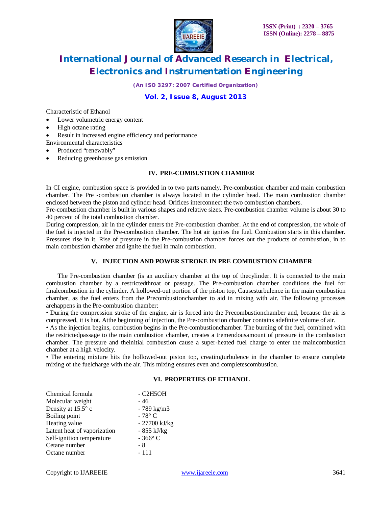

*(An ISO 3297: 2007 Certified Organization)*

## **Vol. 2, Issue 8, August 2013**

Characteristic of Ethanol

- Lower volumetric energy content
- High octane rating
- Result in increased engine efficiency and performance
- Environmental characteristics
- Produced "renewably"
- Reducing greenhouse gas emission

#### **IV. PRE-COMBUSTION CHAMBER**

In CI engine, combustion space is provided in to two parts namely, Pre-combustion chamber and main combustion chamber. The Pre -combustion chamber is always located in the cylinder head. The main combustion chamber enclosed between the piston and cylinder head. Orifices interconnect the two combustion chambers.

Pre-combustion chamber is built in various shapes and relative sizes. Pre-combustion chamber volume is about 30 to 40 percent of the total combustion chamber.

During compression, air in the cylinder enters the Pre-combustion chamber. At the end of compression, the whole of the fuel is injected in the Pre-combustion chamber. The hot air ignites the fuel. Combustion starts in this chamber. Pressures rise in it. Rise of pressure in the Pre-combustion chamber forces out the products of combustion, in to main combustion chamber and ignite the fuel in main combustion.

### **V. INJECTION AND POWER STROKE IN PRE COMBUSTION CHAMBER**

The Pre-combustion chamber (is an auxiliary chamber at the top of thecylinder. It is connected to the main combustion chamber by a restrictedthroat or passage. The Pre-combustion chamber conditions the fuel for finalcombustion in the cylinder. A hollowed-out portion of the piston top, Causesturbulence in the main combustion chamber, as the fuel enters from the Precombustionchamber to aid in mixing with air. The following processes arehappens in the Pre-combustion chamber:

• During the compression stroke of the engine, air is forced into the Precombustionchamber and, because the air is compressed, it is hot. Atthe beginning of injection, the Pre-combustion chamber contains adefinite volume of air.

• As the injection begins, combustion begins in the Pre-combustionchamber. The burning of the fuel, combined with the restrictedpassage to the main combustion chamber, creates a tremendousamount of pressure in the combustion chamber. The pressure and theinitial combustion cause a super-heated fuel charge to enter the maincombustion chamber at a high velocity.

• The entering mixture hits the hollowed-out piston top, creatingturbulence in the chamber to ensure complete mixing of the fuelcharge with the air. This mixing ensures even and completescombustion.

### **VI. PROPERTIES OF ETHANOL**

| Chemical formula            | - C2H5OH               |
|-----------------------------|------------------------|
| Molecular weight            | - 46                   |
| Density at 15.5° c          | $-789$ kg/m3           |
| Boiling point               | $-78^{\circ}$ C        |
| Heating value               | - 27700 kJ/kg          |
| Latent heat of vaporization | $-855$ kJ/kg           |
| Self-ignition temperature   | - 366 $\rm ^{\circ}$ C |
| Cetane number               | - 8                    |
| Octane number               | - 111                  |
|                             |                        |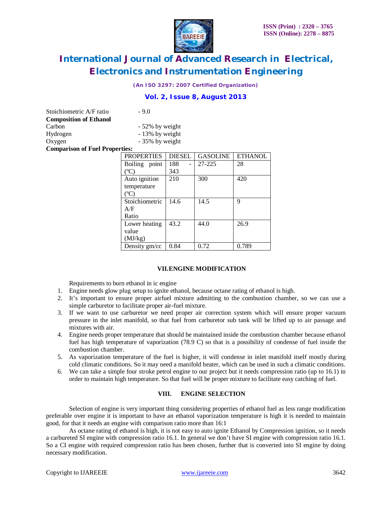

*(An ISO 3297: 2007 Certified Organization)*

## **Vol. 2, Issue 8, August 2013**

| Stoichiometric A/F ratio              | $-9.0$            |
|---------------------------------------|-------------------|
| <b>Composition of Ethanol</b>         |                   |
| Carbon                                | $-52\%$ by weight |
| Hydrogen                              | - 13% by weight   |
| Oxygen                                | - 35% by weight   |
| <b>Comparison of Fuel Properties:</b> |                   |

| <b>PROPERTIES</b> | <b>DIESEL</b> | <b>GASOLINE</b> | <b>ETHANOL</b> |
|-------------------|---------------|-----------------|----------------|
| Boiling point     | 188           | 27-225          | 28             |
| $(C^{\circ}C)$    | 343           |                 |                |
| Auto ignition     | 210           | 300             | 420            |
| temperature       |               |                 |                |
| (C)               |               |                 |                |
| Stoichiometric    | 14.6          | 14.5            | 9              |
| A/F               |               |                 |                |
| Ratio             |               |                 |                |
| Lower heating     | 43.2          | 44.0            | 26.9           |
| value             |               |                 |                |
| (MJ/kg)           |               |                 |                |
| Density $gm/cc$   | 0.84          | 0.72            | 0.789          |

#### **VII.ENGINE MODIFICATION**

Requirements to burn ethanol in ic engine

- 1. Engine needs glow plug setup to ignite ethanol, because octane rating of ethanol is high.
- 2. It's important to ensure proper airfuel mixture admitting to the combustion chamber, so we can use a simple carburetor to facilitate proper air-fuel mixture.
- 3. If we want to use carburetor we need proper air correction system which will ensure proper vacuum pressure in the inlet manifold, so that fuel from carburetor sub tank will be lifted up to air passage and mixtures with air.
- 4. Engine needs proper temperature that should be maintained inside the combustion chamber because ethanol fuel has high temperature of vaporization (78.9 C) so that is a possibility of condense of fuel inside the combustion chamber.
- 5. As vaporization temperature of the fuel is higher, it will condense in inlet manifold itself mostly during cold climatic conditions. So it may need a manifold heater, which can be used in such a climatic conditions.
- 6. We can take a simple four stroke petrol engine to our project but it needs compression ratio (up to 16.1) in order to maintain high temperature. So that fuel will be proper mixture to facilitate easy catching of fuel.

#### **VIII. ENGINE SELECTION**

Selection of engine is very important thing considering properties of ethanol fuel as less range modification preferable over engine it is important to have an ethanol vaporization temperature is high it is needed to maintain good, for that it needs an engine with comparison ratio more than 16:1

As octane rating of ethanol is high, it is not easy to auto ignite Ethanol by Compression ignition, so it needs a carbureted SI engine with compression ratio 16.1. In general we don't have SI engine with compression ratio 16.1. So a CI engine with required compression ratio has been chosen, further that is converted into SI engine by doing necessary modification.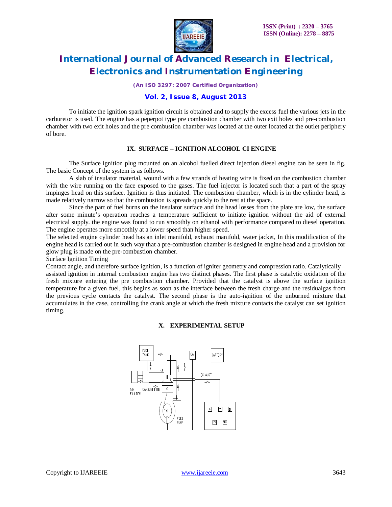

*(An ISO 3297: 2007 Certified Organization)*

## **Vol. 2, Issue 8, August 2013**

To initiate the ignition spark ignition circuit is obtained and to supply the excess fuel the various jets in the carburetor is used. The engine has a peperpot type pre combustion chamber with two exit holes and pre-combustion chamber with two exit holes and the pre combustion chamber was located at the outer located at the outlet periphery of bore.

### **IX. SURFACE – IGNITION ALCOHOL CI ENGINE**

The Surface ignition plug mounted on an alcohol fuelled direct injection diesel engine can be seen in fig. The basic Concept of the system is as follows.

A slab of insulator material, wound with a few strands of heating wire is fixed on the combustion chamber with the wire running on the face exposed to the gases. The fuel injector is located such that a part of the spray impinges head on this surface. Ignition is thus initiated. The combustion chamber, which is in the cylinder head, is made relatively narrow so that the combustion is spreads quickly to the rest at the space.

Since the part of fuel burns on the insulator surface and the head losses from the plate are low, the surface after some minute's operation reaches a temperature sufficient to initiate ignition without the aid of external electrical supply. the engine was found to run smoothly on ethanol with performance compared to diesel operation. The engine operates more smoothly at a lower speed than higher speed.

The selected engine cylinder head has an inlet manifold, exhaust manifold, water jacket, In this modification of the engine head is carried out in such way that a pre-combustion chamber is designed in engine head and a provision for glow plug is made on the pre-combustion chamber.

Surface Ignition Timing

Contact angle, and therefore surface ignition, is a function of igniter geometry and compression ratio. Catalytically – assisted ignition in internal combustion engine has two distinct phases. The first phase is catalytic oxidation of the fresh mixture entering the pre combustion chamber. Provided that the catalyst is above the surface ignition temperature for a given fuel, this begins as soon as the interface between the fresh charge and the residualgas from the previous cycle contacts the catalyst. The second phase is the auto-ignition of the unburned mixture that accumulates in the case, controlling the crank angle at which the fresh mixture contacts the catalyst can set ignition timing.

#### **X. EXPERIMENTAL SETUP**

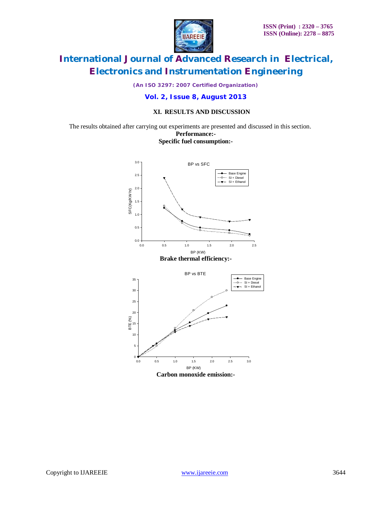

*(An ISO 3297: 2007 Certified Organization)*

# **Vol. 2, Issue 8, August 2013**

#### **XI. RESULTS AND DISCUSSION**

The results obtained after carrying out experiments are presented and discussed in this section.

**Performance:- Specific fuel consumption:-**

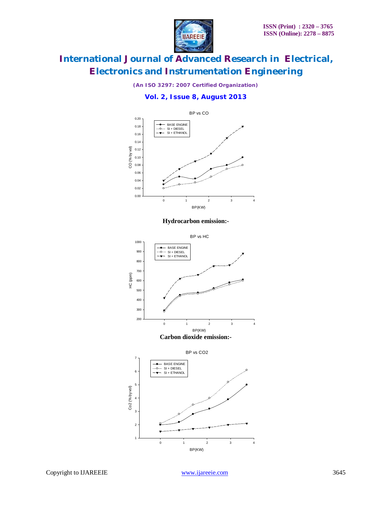

*(An ISO 3297: 2007 Certified Organization)*

## **Vol. 2, Issue 8, August 2013**



**Hydrocarbon emission:-**

BP vs HC



BP vs CO2